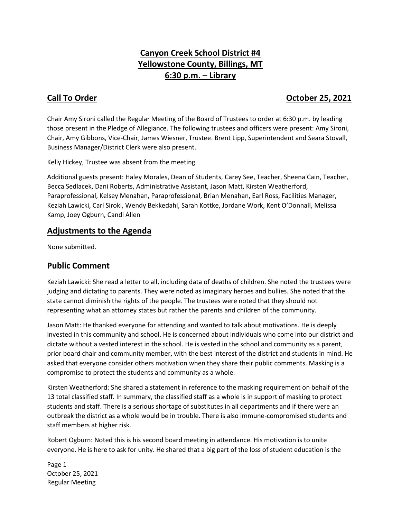# **Canyon Creek School District #4 Yellowstone County, Billings, MT 6:30 p.m.** – **Library**

# **Call To Order Call To Order Call To Order 25, 2021**

Chair Amy Sironi called the Regular Meeting of the Board of Trustees to order at 6:30 p.m. by leading those present in the Pledge of Allegiance. The following trustees and officers were present: Amy Sironi, Chair, Amy Gibbons, Vice-Chair, James Wiesner, Trustee. Brent Lipp, Superintendent and Seara Stovall, Business Manager/District Clerk were also present.

Kelly Hickey, Trustee was absent from the meeting

Additional guests present: Haley Morales, Dean of Students, Carey See, Teacher, Sheena Cain, Teacher, Becca Sedlacek, Dani Roberts, Administrative Assistant, Jason Matt, Kirsten Weatherford, Paraprofessional, Kelsey Menahan, Paraprofessional, Brian Menahan, Earl Ross, Facilities Manager, Keziah Lawicki, Carl Siroki, Wendy Bekkedahl, Sarah Kottke, Jordane Work, Kent O'Donnall, Melissa Kamp, Joey Ogburn, Candi Allen

## **Adjustments to the Agenda**

None submitted.

## **Public Comment**

Keziah Lawicki: She read a letter to all, including data of deaths of children. She noted the trustees were judging and dictating to parents. They were noted as imaginary heroes and bullies. She noted that the state cannot diminish the rights of the people. The trustees were noted that they should not representing what an attorney states but rather the parents and children of the community.

Jason Matt: He thanked everyone for attending and wanted to talk about motivations. He is deeply invested in this community and school. He is concerned about individuals who come into our district and dictate without a vested interest in the school. He is vested in the school and community as a parent, prior board chair and community member, with the best interest of the district and students in mind. He asked that everyone consider others motivation when they share their public comments. Masking is a compromise to protect the students and community as a whole.

Kirsten Weatherford: She shared a statement in reference to the masking requirement on behalf of the 13 total classified staff. In summary, the classified staff as a whole is in support of masking to protect students and staff. There is a serious shortage of substitutes in all departments and if there were an outbreak the district as a whole would be in trouble. There is also immune-compromised students and staff members at higher risk.

Robert Ogburn: Noted this is his second board meeting in attendance. His motivation is to unite everyone. He is here to ask for unity. He shared that a big part of the loss of student education is the

Page 1 October 25, 2021 Regular Meeting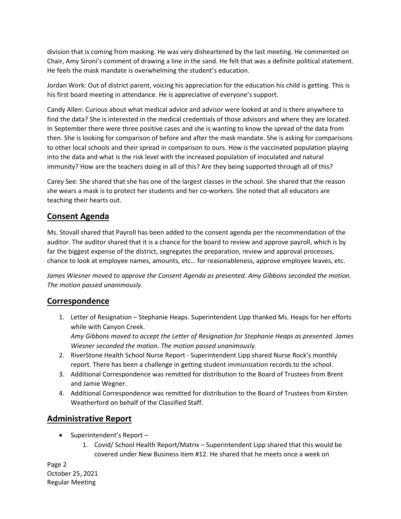division that is coming from masking. He was very disheartened by the last meeting. He commented on Chair, Amy Sironi's comment of drawing a line in the sand. He felt that was a definite political statement. He feels the mask mandate is overwhelming the student's education.

Jordan Work: Out of district parent, voicing his appreciation for the education his child is getting. This is his first board meeting in attendance. He is appreciative of everyone's support.

Candy Allen: Curious about what medical advice and advisor were looked at and is there anywhere to find the data? She is interested in the medical credentials of those advisors and where they are located. In September there were three positive cases and she is wanting to know the spread of the data from then. She is looking for comparison of before and after the mask mandate. She is asking for comparisons to other local schools and their spread in comparison to ours. How is the vaccinated population playing into the data and what is the risk level with the increased population of inoculated and natural immunity? How are the teachers doing in all of this? Are they being supported through all of this?

Carey See: She shared that she has one of the largest classes in the school. She shared that the reason she wears a mask is to protect her students and her co-workers. She noted that all educators are teaching their hearts out.

# **Consent Agenda**

Ms. Stovall shared that Payroll has been added to the consent agenda per the recommendation of the auditor. The auditor shared that it is a chance for the board to review and approve payroll, which is by far the biggest expense of the district, segregates the preparation, review and approval processes, chance to look at employee names, amounts, etc… for reasonableness, approve employee leaves, etc.

*James Wiesner moved to approve the Consent Agenda as presented. Amy Gibbons seconded the motion. The motion passed unanimously.* 

## **Correspondence**

1. Letter of Resignation – Stephanie Heaps. Superintendent Lipp thanked Ms. Heaps for her efforts while with Canyon Creek.

*Amy Gibbons moved to accept the Letter of Resignation for Stephanie Heaps as presented. James Wiesner seconded the motion. The motion passed unanimously.*

- 2. RiverStone Health School Nurse Report Superintendent Lipp shared Nurse Rock's monthly report. There has been a challenge in getting student immunization records to the school.
- 3. Additional Correspondence was remitted for distribution to the Board of Trustees from Brent and Jamie Wegner.
- 4. Additional Correspondence was remitted for distribution to the Board of Trustees from Kirsten Weatherford on behalf of the Classified Staff.

# **Administrative Report**

- Superintendent's Report -
	- 1. Covid/ School Health Report/Matrix Superintendent Lipp shared that this would be covered under New Business item #12. He shared that he meets once a week on

Page 2 October 25, 2021 Regular Meeting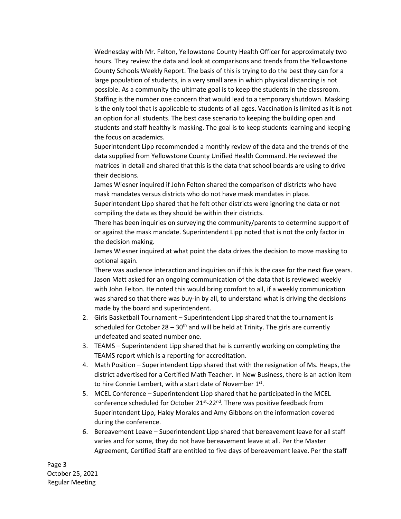Wednesday with Mr. Felton, Yellowstone County Health Officer for approximately two hours. They review the data and look at comparisons and trends from the Yellowstone County Schools Weekly Report. The basis of this is trying to do the best they can for a large population of students, in a very small area in which physical distancing is not possible. As a community the ultimate goal is to keep the students in the classroom. Staffing is the number one concern that would lead to a temporary shutdown. Masking is the only tool that is applicable to students of all ages. Vaccination is limited as it is not an option for all students. The best case scenario to keeping the building open and students and staff healthy is masking. The goal is to keep students learning and keeping the focus on academics.

Superintendent Lipp recommended a monthly review of the data and the trends of the data supplied from Yellowstone County Unified Health Command. He reviewed the matrices in detail and shared that this is the data that school boards are using to drive their decisions.

James Wiesner inquired if John Felton shared the comparison of districts who have mask mandates versus districts who do not have mask mandates in place.

Superintendent Lipp shared that he felt other districts were ignoring the data or not compiling the data as they should be within their districts.

There has been inquiries on surveying the community/parents to determine support of or against the mask mandate. Superintendent Lipp noted that is not the only factor in the decision making.

James Wiesner inquired at what point the data drives the decision to move masking to optional again.

There was audience interaction and inquiries on if this is the case for the next five years. Jason Matt asked for an ongoing communication of the data that is reviewed weekly with John Felton. He noted this would bring comfort to all, if a weekly communication was shared so that there was buy-in by all, to understand what is driving the decisions made by the board and superintendent.

- 2. Girls Basketball Tournament Superintendent Lipp shared that the tournament is scheduled for October  $28 - 30<sup>th</sup>$  and will be held at Trinity. The girls are currently undefeated and seated number one.
- 3. TEAMS Superintendent Lipp shared that he is currently working on completing the TEAMS report which is a reporting for accreditation.
- 4. Math Position Superintendent Lipp shared that with the resignation of Ms. Heaps, the district advertised for a Certified Math Teacher. In New Business, there is an action item to hire Connie Lambert, with a start date of November 1<sup>st</sup>.
- 5. MCEL Conference Superintendent Lipp shared that he participated in the MCEL conference scheduled for October 21<sup>st</sup>-22<sup>nd</sup>. There was positive feedback from Superintendent Lipp, Haley Morales and Amy Gibbons on the information covered during the conference.
- 6. Bereavement Leave Superintendent Lipp shared that bereavement leave for all staff varies and for some, they do not have bereavement leave at all. Per the Master Agreement, Certified Staff are entitled to five days of bereavement leave. Per the staff

Page 3 October 25, 2021 Regular Meeting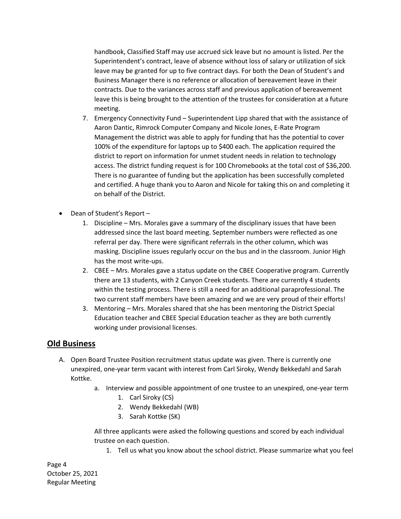handbook, Classified Staff may use accrued sick leave but no amount is listed. Per the Superintendent's contract, leave of absence without loss of salary or utilization of sick leave may be granted for up to five contract days. For both the Dean of Student's and Business Manager there is no reference or allocation of bereavement leave in their contracts. Due to the variances across staff and previous application of bereavement leave this is being brought to the attention of the trustees for consideration at a future meeting.

- 7. Emergency Connectivity Fund Superintendent Lipp shared that with the assistance of Aaron Dantic, Rimrock Computer Company and Nicole Jones, E-Rate Program Management the district was able to apply for funding that has the potential to cover 100% of the expenditure for laptops up to \$400 each. The application required the district to report on information for unmet student needs in relation to technology access. The district funding request is for 100 Chromebooks at the total cost of \$36,200. There is no guarantee of funding but the application has been successfully completed and certified. A huge thank you to Aaron and Nicole for taking this on and completing it on behalf of the District.
- Dean of Student's Report
	- 1. Discipline Mrs. Morales gave a summary of the disciplinary issues that have been addressed since the last board meeting. September numbers were reflected as one referral per day. There were significant referrals in the other column, which was masking. Discipline issues regularly occur on the bus and in the classroom. Junior High has the most write-ups.
	- 2. CBEE Mrs. Morales gave a status update on the CBEE Cooperative program. Currently there are 13 students, with 2 Canyon Creek students. There are currently 4 students within the testing process. There is still a need for an additional paraprofessional. The two current staff members have been amazing and we are very proud of their efforts!
	- 3. Mentoring Mrs. Morales shared that she has been mentoring the District Special Education teacher and CBEE Special Education teacher as they are both currently working under provisional licenses.

#### **Old Business**

- A. Open Board Trustee Position recruitment status update was given. There is currently one unexpired, one-year term vacant with interest from Carl Siroky, Wendy Bekkedahl and Sarah Kottke.
	- a. Interview and possible appointment of one trustee to an unexpired, one-year term
		- 1. Carl Siroky (CS)
		- 2. Wendy Bekkedahl (WB)
		- 3. Sarah Kottke (SK)

All three applicants were asked the following questions and scored by each individual trustee on each question.

1. Tell us what you know about the school district. Please summarize what you feel

Page 4 October 25, 2021 Regular Meeting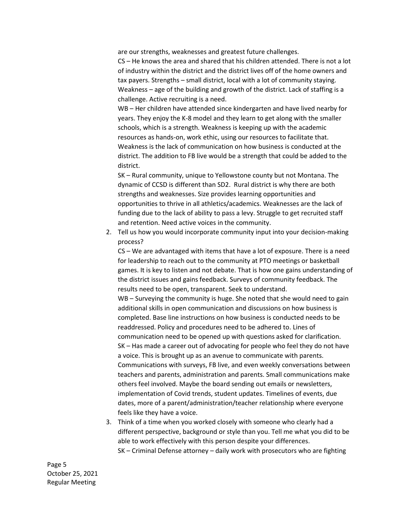are our strengths, weaknesses and greatest future challenges.

CS – He knows the area and shared that his children attended. There is not a lot of industry within the district and the district lives off of the home owners and tax payers. Strengths – small district, local with a lot of community staying. Weakness – age of the building and growth of the district. Lack of staffing is a challenge. Active recruiting is a need.

WB – Her children have attended since kindergarten and have lived nearby for years. They enjoy the K-8 model and they learn to get along with the smaller schools, which is a strength. Weakness is keeping up with the academic resources as hands-on, work ethic, using our resources to facilitate that. Weakness is the lack of communication on how business is conducted at the district. The addition to FB live would be a strength that could be added to the district.

SK – Rural community, unique to Yellowstone county but not Montana. The dynamic of CCSD is different than SD2. Rural district is why there are both strengths and weaknesses. Size provides learning opportunities and opportunities to thrive in all athletics/academics. Weaknesses are the lack of funding due to the lack of ability to pass a levy. Struggle to get recruited staff and retention. Need active voices in the community.

2. Tell us how you would incorporate community input into your decision-making process?

CS – We are advantaged with items that have a lot of exposure. There is a need for leadership to reach out to the community at PTO meetings or basketball games. It is key to listen and not debate. That is how one gains understanding of the district issues and gains feedback. Surveys of community feedback. The results need to be open, transparent. Seek to understand.

WB – Surveying the community is huge. She noted that she would need to gain additional skills in open communication and discussions on how business is completed. Base line instructions on how business is conducted needs to be readdressed. Policy and procedures need to be adhered to. Lines of communication need to be opened up with questions asked for clarification. SK – Has made a career out of advocating for people who feel they do not have a voice. This is brought up as an avenue to communicate with parents. Communications with surveys, FB live, and even weekly conversations between teachers and parents, administration and parents. Small communications make others feel involved. Maybe the board sending out emails or newsletters, implementation of Covid trends, student updates. Timelines of events, due dates, more of a parent/administration/teacher relationship where everyone feels like they have a voice.

3. Think of a time when you worked closely with someone who clearly had a different perspective, background or style than you. Tell me what you did to be able to work effectively with this person despite your differences. SK – Criminal Defense attorney – daily work with prosecutors who are fighting

Page 5 October 25, 2021 Regular Meeting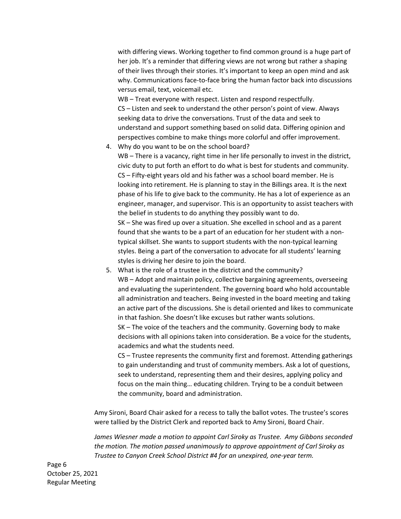with differing views. Working together to find common ground is a huge part of her job. It's a reminder that differing views are not wrong but rather a shaping of their lives through their stories. It's important to keep an open mind and ask why. Communications face-to-face bring the human factor back into discussions versus email, text, voicemail etc.

WB – Treat everyone with respect. Listen and respond respectfully. CS – Listen and seek to understand the other person's point of view. Always seeking data to drive the conversations. Trust of the data and seek to understand and support something based on solid data. Differing opinion and perspectives combine to make things more colorful and offer improvement.

4. Why do you want to be on the school board? WB – There is a vacancy, right time in her life personally to invest in the district, civic duty to put forth an effort to do what is best for students and community. CS – Fifty-eight years old and his father was a school board member. He is looking into retirement. He is planning to stay in the Billings area. It is the next phase of his life to give back to the community. He has a lot of experience as an engineer, manager, and supervisor. This is an opportunity to assist teachers with the belief in students to do anything they possibly want to do.

SK – She was fired up over a situation. She excelled in school and as a parent found that she wants to be a part of an education for her student with a nontypical skillset. She wants to support students with the non-typical learning styles. Being a part of the conversation to advocate for all students' learning styles is driving her desire to join the board.

5. What is the role of a trustee in the district and the community? WB – Adopt and maintain policy, collective bargaining agreements, overseeing and evaluating the superintendent. The governing board who hold accountable all administration and teachers. Being invested in the board meeting and taking an active part of the discussions. She is detail oriented and likes to communicate in that fashion. She doesn't like excuses but rather wants solutions. SK – The voice of the teachers and the community. Governing body to make

decisions with all opinions taken into consideration. Be a voice for the students, academics and what the students need.

CS – Trustee represents the community first and foremost. Attending gatherings to gain understanding and trust of community members. Ask a lot of questions, seek to understand, representing them and their desires, applying policy and focus on the main thing… educating children. Trying to be a conduit between the community, board and administration.

Amy Sironi, Board Chair asked for a recess to tally the ballot votes. The trustee's scores were tallied by the District Clerk and reported back to Amy Sironi, Board Chair.

*James Wiesner made a motion to appoint Carl Siroky as Trustee. Amy Gibbons seconded the motion. The motion passed unanimously to approve appointment of Carl Siroky as Trustee to Canyon Creek School District #4 for an unexpired, one-year term.* 

Page 6 October 25, 2021 Regular Meeting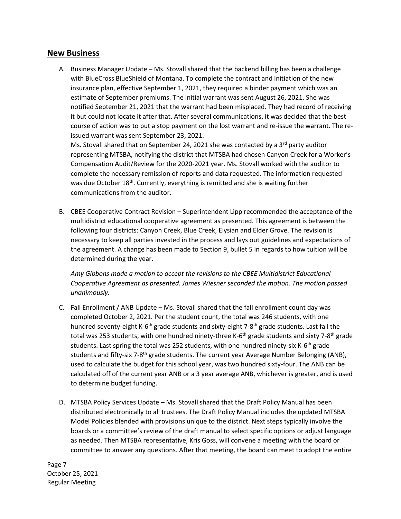#### **New Business**

A. Business Manager Update – Ms. Stovall shared that the backend billing has been a challenge with BlueCross BlueShield of Montana. To complete the contract and initiation of the new insurance plan, effective September 1, 2021, they required a binder payment which was an estimate of September premiums. The initial warrant was sent August 26, 2021. She was notified September 21, 2021 that the warrant had been misplaced. They had record of receiving it but could not locate it after that. After several communications, it was decided that the best course of action was to put a stop payment on the lost warrant and re-issue the warrant. The reissued warrant was sent September 23, 2021.

Ms. Stovall shared that on September 24, 2021 she was contacted by a  $3^{rd}$  party auditor representing MTSBA, notifying the district that MTSBA had chosen Canyon Creek for a Worker's Compensation Audit/Review for the 2020-2021 year. Ms. Stovall worked with the auditor to complete the necessary remission of reports and data requested. The information requested was due October  $18<sup>th</sup>$ . Currently, everything is remitted and she is waiting further communications from the auditor.

B. CBEE Cooperative Contract Revision – Superintendent Lipp recommended the acceptance of the multidistrict educational cooperative agreement as presented. This agreement is between the following four districts: Canyon Creek, Blue Creek, Elysian and Elder Grove. The revision is necessary to keep all parties invested in the process and lays out guidelines and expectations of the agreement. A change has been made to Section 9, bullet 5 in regards to how tuition will be determined during the year.

*Amy Gibbons made a motion to accept the revisions to the CBEE Multidistrict Educational Cooperative Agreement as presented. James Wiesner seconded the motion. The motion passed unanimously.*

- C. Fall Enrollment / ANB Update Ms. Stovall shared that the fall enrollment count day was completed October 2, 2021. Per the student count, the total was 246 students, with one hundred seventy-eight K-6<sup>th</sup> grade students and sixty-eight 7-8<sup>th</sup> grade students. Last fall the total was 253 students, with one hundred ninety-three K-6<sup>th</sup> grade students and sixty 7-8<sup>th</sup> grade students. Last spring the total was 252 students, with one hundred ninety-six K-6<sup>th</sup> grade students and fifty-six 7-8<sup>th</sup> grade students. The current year Average Number Belonging (ANB), used to calculate the budget for this school year, was two hundred sixty-four. The ANB can be calculated off of the current year ANB or a 3 year average ANB, whichever is greater, and is used to determine budget funding.
- D. MTSBA Policy Services Update Ms. Stovall shared that the Draft Policy Manual has been distributed electronically to all trustees. The Draft Policy Manual includes the updated MTSBA Model Policies blended with provisions unique to the district. Next steps typically involve the boards or a committee's review of the draft manual to select specific options or adjust language as needed. Then MTSBA representative, Kris Goss, will convene a meeting with the board or committee to answer any questions. After that meeting, the board can meet to adopt the entire

Page 7 October 25, 2021 Regular Meeting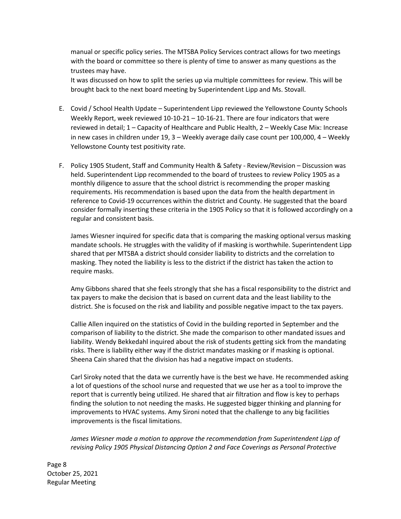manual or specific policy series. The MTSBA Policy Services contract allows for two meetings with the board or committee so there is plenty of time to answer as many questions as the trustees may have.

It was discussed on how to split the series up via multiple committees for review. This will be brought back to the next board meeting by Superintendent Lipp and Ms. Stovall.

- E. Covid / School Health Update Superintendent Lipp reviewed the Yellowstone County Schools Weekly Report, week reviewed 10-10-21 – 10-16-21. There are four indicators that were reviewed in detail; 1 – Capacity of Healthcare and Public Health, 2 – Weekly Case Mix: Increase in new cases in children under 19, 3 – Weekly average daily case count per 100,000, 4 – Weekly Yellowstone County test positivity rate.
- F. Policy 1905 Student, Staff and Community Health & Safety Review/Revision Discussion was held. Superintendent Lipp recommended to the board of trustees to review Policy 1905 as a monthly diligence to assure that the school district is recommending the proper masking requirements. His recommendation is based upon the data from the health department in reference to Covid-19 occurrences within the district and County. He suggested that the board consider formally inserting these criteria in the 1905 Policy so that it is followed accordingly on a regular and consistent basis.

James Wiesner inquired for specific data that is comparing the masking optional versus masking mandate schools. He struggles with the validity of if masking is worthwhile. Superintendent Lipp shared that per MTSBA a district should consider liability to districts and the correlation to masking. They noted the liability is less to the district if the district has taken the action to require masks.

Amy Gibbons shared that she feels strongly that she has a fiscal responsibility to the district and tax payers to make the decision that is based on current data and the least liability to the district. She is focused on the risk and liability and possible negative impact to the tax payers.

Callie Allen inquired on the statistics of Covid in the building reported in September and the comparison of liability to the district. She made the comparison to other mandated issues and liability. Wendy Bekkedahl inquired about the risk of students getting sick from the mandating risks. There is liability either way if the district mandates masking or if masking is optional. Sheena Cain shared that the division has had a negative impact on students.

Carl Siroky noted that the data we currently have is the best we have. He recommended asking a lot of questions of the school nurse and requested that we use her as a tool to improve the report that is currently being utilized. He shared that air filtration and flow is key to perhaps finding the solution to not needing the masks. He suggested bigger thinking and planning for improvements to HVAC systems. Amy Sironi noted that the challenge to any big facilities improvements is the fiscal limitations.

*James Wiesner made a motion to approve the recommendation from Superintendent Lipp of revising Policy 1905 Physical Distancing Option 2 and Face Coverings as Personal Protective* 

Page 8 October 25, 2021 Regular Meeting